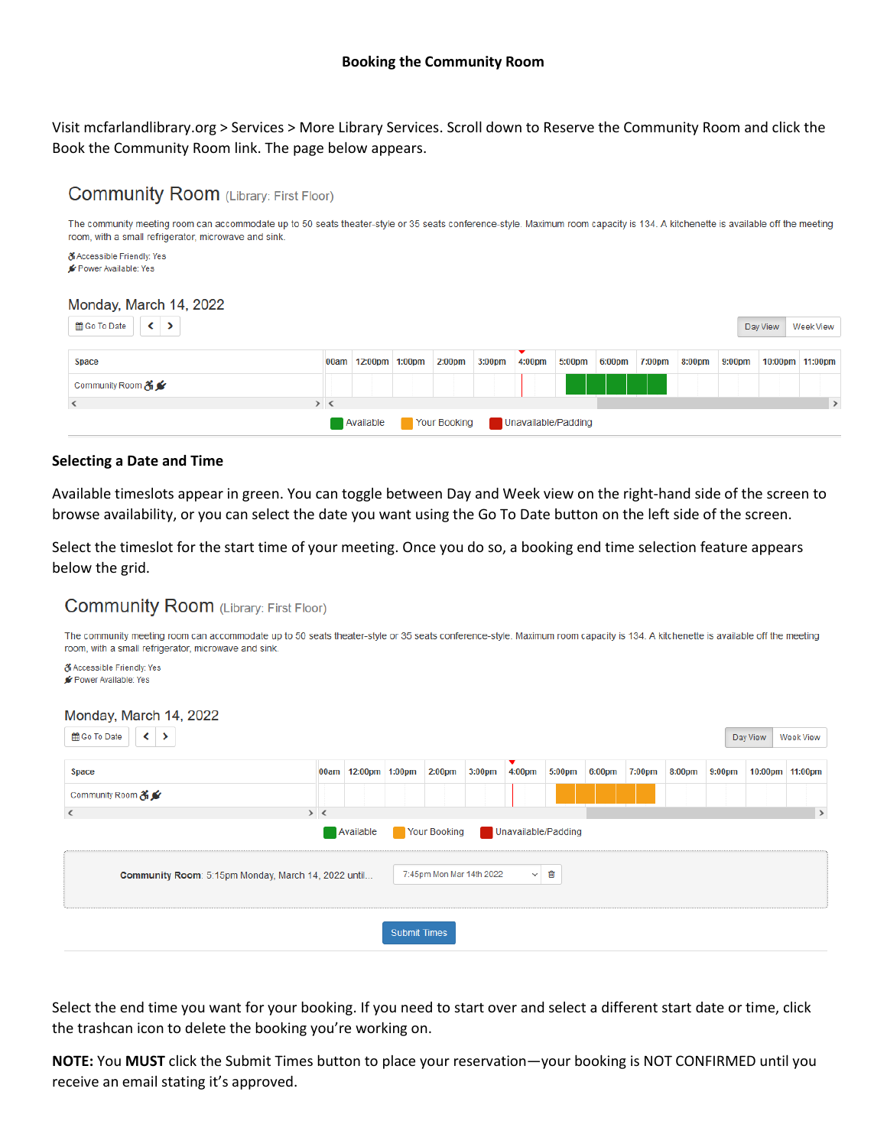Visit mcfarlandlibrary.org > Services > More Library Services. Scroll down to Reserve the Community Room and click the Book the Community Room link. The page below appears.

# **Community Room** (Library: First Floor)

The community meeting room can accommodate up to 50 seats theater-style or 35 seats conference-style. Maximum room capacity is 134. A kitchenette is available off the meeting room, with a small refrigerator, microwave and sink



#### **Selecting a Date and Time**

Available timeslots appear in green. You can toggle between Day and Week view on the right-hand side of the screen to browse availability, or you can select the date you want using the Go To Date button on the left side of the screen.

Select the timeslot for the start time of your meeting. Once you do so, a booking end time selection feature appears below the grid.

#### **Community Room** (Library: First Floor)

The community meeting room can accommodate up to 50 seats theater-style or 35 seats conference-style. Maximum room capacity is 134. A kitchenette is available off the meeting room, with a small refrigerator, microwave and sink

**& Accessible Friendly: Yes** Power Available: Yes

| Monday, March 14, 2022<br>tig Go To Date<br>⋗<br>≺                                                   |  |                     |  |                    |                    |             |        |        |        |        |        | Day View | Week View       |
|------------------------------------------------------------------------------------------------------|--|---------------------|--|--------------------|--------------------|-------------|--------|--------|--------|--------|--------|----------|-----------------|
| <b>Space</b>                                                                                         |  | 00am 12:00pm 1:00pm |  | 2:00 <sub>pm</sub> | 3:00 <sub>pm</sub> | ▼<br>4:00pm | 5:00pm | 6:00pm | 7:00pm | 8:00pm | 9:00pm |          | 10:00pm 11:00pm |
| Community Room & <del>≤</del>                                                                        |  |                     |  |                    |                    |             |        |        |        |        |        |          |                 |
| $\rightarrow$<br>> 1<br>$\left\langle \right\rangle$                                                 |  |                     |  |                    |                    |             |        |        |        |        |        |          |                 |
| Your Booking<br>Unavailable/Padding<br>Available                                                     |  |                     |  |                    |                    |             |        |        |        |        |        |          |                 |
| 7:45pm Mon Mar 14th 2022<br>圎<br>Community Room: 5:15pm Monday, March 14, 2022 until<br>$\checkmark$ |  |                     |  |                    |                    |             |        |        |        |        |        |          |                 |
| <b>Submit Times</b>                                                                                  |  |                     |  |                    |                    |             |        |        |        |        |        |          |                 |

Select the end time you want for your booking. If you need to start over and select a different start date or time, click the trashcan icon to delete the booking you're working on.

**NOTE:** You **MUST** click the Submit Times button to place your reservation—your booking is NOT CONFIRMED until you receive an email stating it's approved.